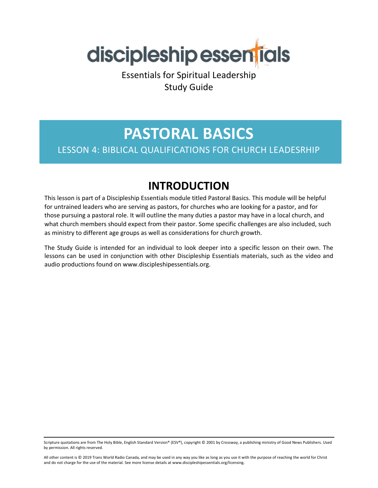

Essentials for Spiritual Leadership Study Guide

# **PASTORAL BASICS**

### LESSON 4: BIBLICAL QUALIFICATIONS FOR CHURCH LEADESRHIP

### **INTRODUCTION**

This lesson is part of a Discipleship Essentials module titled Pastoral Basics. This module will be helpful for untrained leaders who are serving as pastors, for churches who are looking for a pastor, and for those pursuing a pastoral role. It will outline the many duties a pastor may have in a local church, and what church members should expect from their pastor. Some specific challenges are also included, such as ministry to different age groups as well as considerations for church growth.

The Study Guide is intended for an individual to look deeper into a specific lesson on their own. The lessons can be used in conjunction with other Discipleship Essentials materials, such as the video and audio productions found on www.discipleshipessentials.org.

Scripture quotations are from The Holy Bible, English Standard Version® (ESV®), copyright © 2001 by Crossway, a publishing ministry of Good News Publishers. Used by permission. All rights reserved.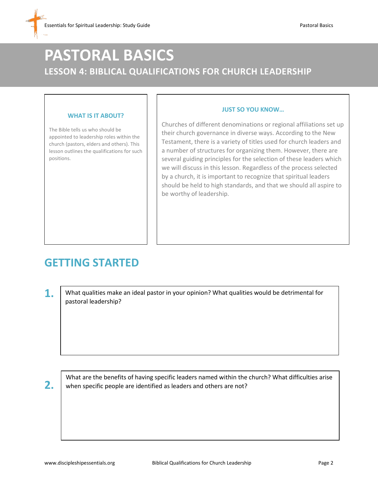## **PASTORAL BASICS LESSON 4: BIBLICAL QUALIFICATIONS FOR CHURCH LEADERSHIP**

#### **WHAT IS IT ABOUT?**

The Bible tells us who should be appointed to leadership roles within the church (pastors, elders and others). This lesson outlines the qualifications for such positions.

Churches of different denominations or regional affiliations set up their church governance in diverse ways. According to the New Testament, there is a variety of titles used for church leaders and a number of structures for organizing them. However, there are several guiding principles for the selection of these leaders which we will discuss in this lesson. Regardless of the process selected by a church, it is important to recognize that spiritual leaders should be held to high standards, and that we should all aspire to be worthy of leadership.

**JUST SO YOU KNOW…**

### **GETTING STARTED**

**1.** What qualities make an ideal pastor in your opinion? What qualities would be detrimental for pastoral leadership?

**2.**

What are the benefits of having specific leaders named within the church? What difficulties arise when specific people are identified as leaders and others are not?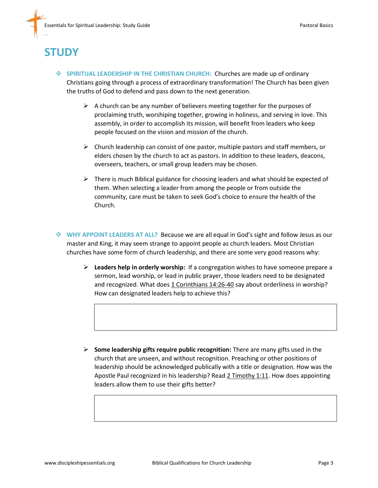## **STUDY**

- **SPIRITUAL LEADERSHIP IN THE CHRISTIAN CHURCH:** Churches are made up of ordinary Christians going through a process of extraordinary transformation! The Church has been given the truths of God to defend and pass down to the next generation.
	- $\triangleright$  A church can be any number of believers meeting together for the purposes of proclaiming truth, worshiping together, growing in holiness, and serving in love. This assembly, in order to accomplish its mission, will benefit from leaders who keep people focused on the vision and mission of the church.
	- $\triangleright$  Church leadership can consist of one pastor, multiple pastors and staff members, or elders chosen by the church to act as pastors. In addition to these leaders, deacons, overseers, teachers, or small group leaders may be chosen.
	- $\triangleright$  There is much Biblical guidance for choosing leaders and what should be expected of them. When selecting a leader from among the people or from outside the community, care must be taken to seek God's choice to ensure the health of the Church.
- **WHY APPOINT LEADERS AT ALL?** Because we are all equal in God's sight and follow Jesus as our master and King, it may seem strange to appoint people as church leaders. Most Christian churches have some form of church leadership, and there are some very good reasons why:
	- **Leaders help in orderly worship:** If a congregation wishes to have someone prepare a sermon, lead worship, or lead in public prayer, those leaders need to be designated and recognized. What does 1 Corinthians 14:26-40 say about orderliness in worship? How can designated leaders help to achieve this?

 **Some leadership gifts require public recognition:** There are many gifts used in the church that are unseen, and without recognition. Preaching or other positions of leadership should be acknowledged publically with a title or designation. How was the Apostle Paul recognized in his leadership? Read 2 Timothy 1:11. How does appointing leaders allow them to use their gifts better?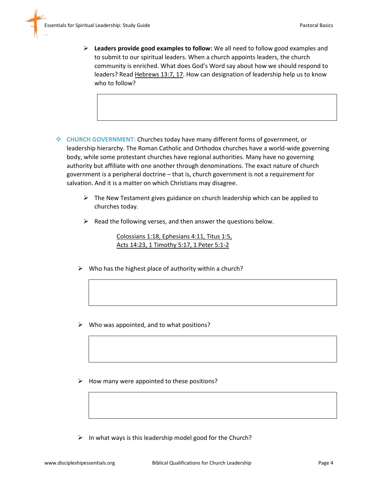- **Leaders provide good examples to follow:** We all need to follow good examples and to submit to our spiritual leaders. When a church appoints leaders, the church community is enriched. What does God's Word say about how we should respond to leaders? Read Hebrews 13:7, 17. How can designation of leadership help us to know who to follow?
- **CHURCH GOVERNMENT:** Churches today have many different forms of government, or leadership hierarchy. The Roman Catholic and Orthodox churches have a world-wide governing body, while some protestant churches have regional authorities. Many have no governing authority but affiliate with one another through denominations. The exact nature of church government is a peripheral doctrine – that is, church government is not a requirement for salvation. And it is a matter on which Christians may disagree.
	- $\triangleright$  The New Testament gives guidance on church leadership which can be applied to churches today.
	- $\triangleright$  Read the following verses, and then answer the questions below.

Colossians 1:18, Ephesians 4:11, Titus 1:5, Acts 14:23, 1 Timothy 5:17, 1 Peter 5:1-2

- $\triangleright$  Who has the highest place of authority within a church?
- $\triangleright$  Who was appointed, and to what positions?
- $\triangleright$  How many were appointed to these positions?
- $\triangleright$  In what ways is this leadership model good for the Church?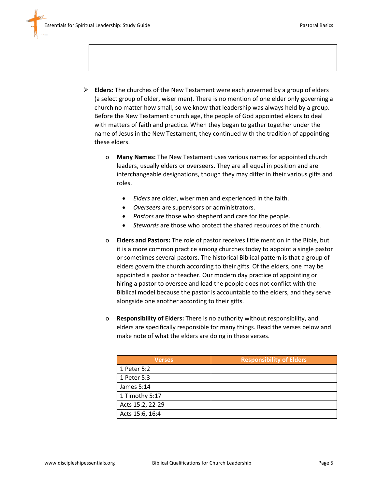

- o **Many Names:** The New Testament uses various names for appointed church leaders, usually elders or overseers. They are all equal in position and are interchangeable designations, though they may differ in their various gifts and roles.
	- *Elders* are older, wiser men and experienced in the faith.
	- *Overseers* are supervisors or administrators.
	- *Pastors* are those who shepherd and care for the people.
	- *Stewards* are those who protect the shared resources of the church.
- o **Elders and Pastors:** The role of pastor receives little mention in the Bible, but it is a more common practice among churches today to appoint a single pastor or sometimes several pastors. The historical Biblical pattern is that a group of elders govern the church according to their gifts. Of the elders, one may be appointed a pastor or teacher. Our modern day practice of appointing or hiring a pastor to oversee and lead the people does not conflict with the Biblical model because the pastor is accountable to the elders, and they serve alongside one another according to their gifts.
- o **Responsibility of Elders:** There is no authority without responsibility, and elders are specifically responsible for many things. Read the verses below and make note of what the elders are doing in these verses.

| <b>Verses</b>    | <b>Responsibility of Elders</b> |
|------------------|---------------------------------|
| 1 Peter 5:2      |                                 |
| 1 Peter 5:3      |                                 |
| James 5:14       |                                 |
| 1 Timothy 5:17   |                                 |
| Acts 15:2, 22-29 |                                 |
| Acts 15:6, 16:4  |                                 |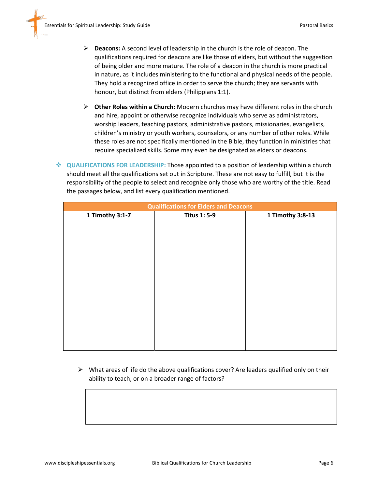- **Deacons:** A second level of leadership in the church is the role of deacon. The qualifications required for deacons are like those of elders, but without the suggestion of being older and more mature. The role of a deacon in the church is more practical in nature, as it includes ministering to the functional and physical needs of the people. They hold a recognized office in order to serve the church; they are servants with honour, but distinct from elders (Philippians 1:1).
- **Other Roles within a Church:** Modern churches may have different roles in the church and hire, appoint or otherwise recognize individuals who serve as administrators, worship leaders, teaching pastors, administrative pastors, missionaries, evangelists, children's ministry or youth workers, counselors, or any number of other roles. While these roles are not specifically mentioned in the Bible, they function in ministries that require specialized skills. Some may even be designated as elders or deacons.
- **QUALIFICATIONS FOR LEADERSHIP:** Those appointed to a position of leadership within a church should meet all the qualifications set out in Scripture. These are not easy to fulfill, but it is the responsibility of the people to select and recognize only those who are worthy of the title. Read the passages below, and list every qualification mentioned.

| <b>Qualifications for Elders and Deacons</b> |                     |                  |  |
|----------------------------------------------|---------------------|------------------|--|
| 1 Timothy 3:1-7                              | <b>Titus 1: 5-9</b> | 1 Timothy 3:8-13 |  |
|                                              |                     |                  |  |
|                                              |                     |                  |  |
|                                              |                     |                  |  |
|                                              |                     |                  |  |
|                                              |                     |                  |  |
|                                              |                     |                  |  |
|                                              |                     |                  |  |
|                                              |                     |                  |  |
|                                              |                     |                  |  |
|                                              |                     |                  |  |
|                                              |                     |                  |  |
|                                              |                     |                  |  |
|                                              |                     |                  |  |
|                                              |                     |                  |  |
|                                              |                     |                  |  |

 $\triangleright$  What areas of life do the above qualifications cover? Are leaders qualified only on their ability to teach, or on a broader range of factors?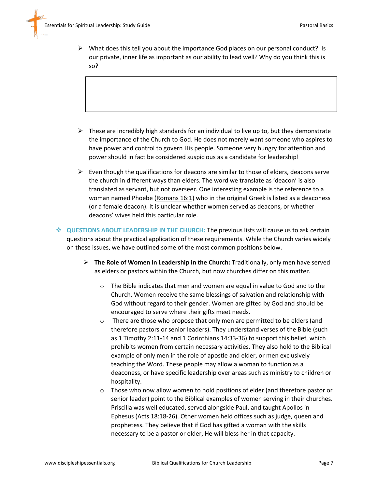$\triangleright$  What does this tell you about the importance God places on our personal conduct? Is our private, inner life as important as our ability to lead well? Why do you think this is so?

- $\triangleright$  These are incredibly high standards for an individual to live up to, but they demonstrate the importance of the Church to God. He does not merely want someone who aspires to have power and control to govern His people. Someone very hungry for attention and power should in fact be considered suspicious as a candidate for leadership!
- $\triangleright$  Even though the qualifications for deacons are similar to those of elders, deacons serve the church in different ways than elders. The word we translate as 'deacon' is also translated as servant, but not overseer. One interesting example is the reference to a woman named Phoebe (Romans 16:1) who in the original Greek is listed as a deaconess (or a female deacon). It is unclear whether women served as deacons, or whether deacons' wives held this particular role.

 **QUESTIONS ABOUT LEADERSHIP IN THE CHURCH:** The previous lists will cause us to ask certain questions about the practical application of these requirements. While the Church varies widely on these issues, we have outlined some of the most common positions below.

- **The Role of Women in Leadership in the Church:** Traditionally, only men have served as elders or pastors within the Church, but now churches differ on this matter.
	- o The Bible indicates that men and women are equal in value to God and to the Church. Women receive the same blessings of salvation and relationship with God without regard to their gender. Women are gifted by God and should be encouraged to serve where their gifts meet needs.
	- o There are those who propose that only men are permitted to be elders (and therefore pastors or senior leaders). They understand verses of the Bible (such as 1 Timothy 2:11-14 and 1 Corinthians 14:33-36) to support this belief, which prohibits women from certain necessary activities. They also hold to the Biblical example of only men in the role of apostle and elder, or men exclusively teaching the Word. These people may allow a woman to function as a deaconess, or have specific leadership over areas such as ministry to children or hospitality.
	- $\circ$  Those who now allow women to hold positions of elder (and therefore pastor or senior leader) point to the Biblical examples of women serving in their churches. Priscilla was well educated, served alongside Paul, and taught Apollos in Ephesus (Acts 18:18-26). Other women held offices such as judge, queen and prophetess. They believe that if God has gifted a woman with the skills necessary to be a pastor or elder, He will bless her in that capacity.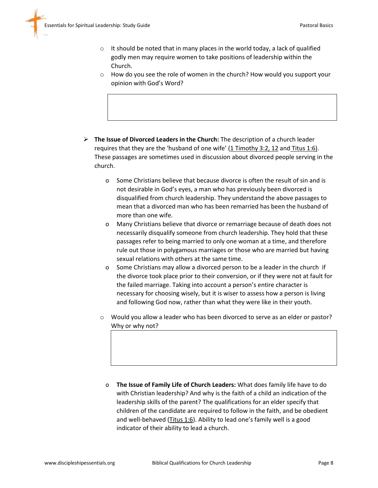- $\circ$  It should be noted that in many places in the world today, a lack of qualified godly men may require women to take positions of leadership within the Church.
- o How do you see the role of women in the church? How would you support your opinion with God's Word?

- **The Issue of Divorced Leaders in the Church:** The description of a church leader requires that they are the 'husband of one wife'  $(1$  Timothy 3:2, 12 and Titus 1:6). These passages are sometimes used in discussion about divorced people serving in the church.
	- o Some Christians believe that because divorce is often the result of sin and is not desirable in God's eyes, a man who has previously been divorced is disqualified from church leadership. They understand the above passages to mean that a divorced man who has been remarried has been the husband of more than one wife.
	- o Many Christians believe that divorce or remarriage because of death does not necessarily disqualify someone from church leadership. They hold that these passages refer to being married to only one woman at a time, and therefore rule out those in polygamous marriages or those who are married but having sexual relations with others at the same time.
	- o Some Christians may allow a divorced person to be a leader in the church if the divorce took place prior to their conversion, or if they were not at fault for the failed marriage. Taking into account a person's entire character is necessary for choosing wisely, but it is wiser to assess how a person is living and following God now, rather than what they were like in their youth.
	- o Would you allow a leader who has been divorced to serve as an elder or pastor? Why or why not?

o **The Issue of Family Life of Church Leaders:** What does family life have to do with Christian leadership? And why is the faith of a child an indication of the leadership skills of the parent? The qualifications for an elder specify that children of the candidate are required to follow in the faith, and be obedient and well-behaved (Titus 1:6). Ability to lead one's family well is a good indicator of their ability to lead a church.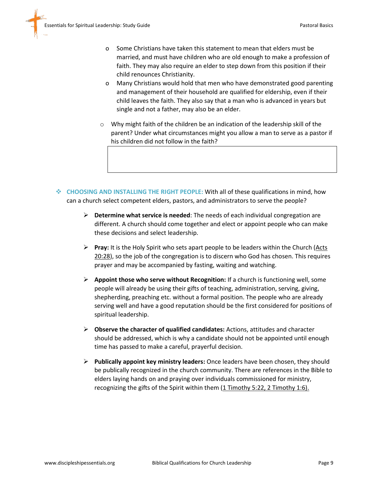- o Some Christians have taken this statement to mean that elders must be married, and must have children who are old enough to make a profession of faith. They may also require an elder to step down from this position if their child renounces Christianity.
- o Many Christians would hold that men who have demonstrated good parenting and management of their household are qualified for eldership, even if their child leaves the faith. They also say that a man who is advanced in years but single and not a father, may also be an elder.
- o Why might faith of the children be an indication of the leadership skill of the parent? Under what circumstances might you allow a man to serve as a pastor if his children did not follow in the faith?
- **CHOOSING AND INSTALLING THE RIGHT PEOPLE:** With all of these qualifications in mind, how can a church select competent elders, pastors, and administrators to serve the people?
	- **Determine what service is needed**: The needs of each individual congregation are different. A church should come together and elect or appoint people who can make these decisions and select leadership.
	- **Pray:** It is the Holy Spirit who sets apart people to be leaders within the Church (Acts 20:28), so the job of the congregation is to discern who God has chosen. This requires prayer and may be accompanied by fasting, waiting and watching.
	- **Appoint those who serve without Recognition:** If a church is functioning well, some people will already be using their gifts of teaching, administration, serving, giving, shepherding, preaching etc. without a formal position. The people who are already serving well and have a good reputation should be the first considered for positions of spiritual leadership.
	- **Observe the character of qualified candidates:** Actions, attitudes and character should be addressed, which is why a candidate should not be appointed until enough time has passed to make a careful, prayerful decision.
	- **Publically appoint key ministry leaders:** Once leaders have been chosen, they should be publically recognized in the church community. There are references in the Bible to elders laying hands on and praying over individuals commissioned for ministry, recognizing the gifts of the Spirit within them (1 Timothy 5:22, 2 Timothy 1:6).